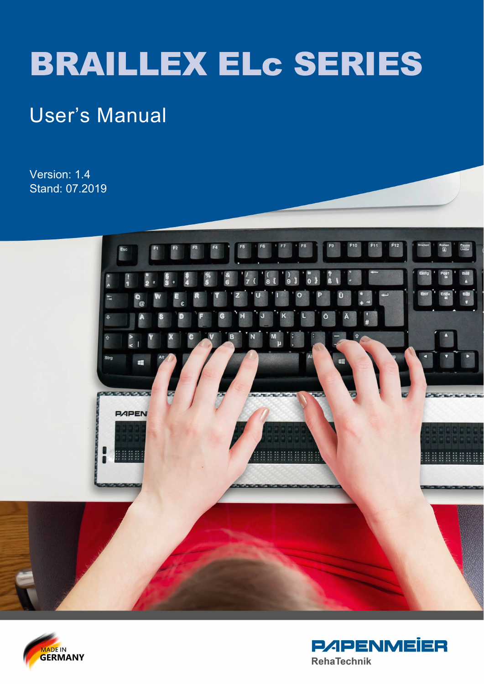# BRAILLEX ELc SERIES

# User's Manual

Version: 1.4 Stand: 07.2019





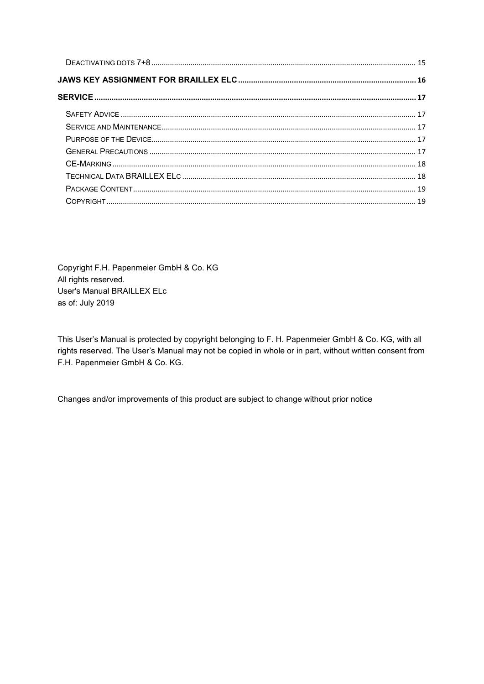Copyright F.H. Papenmeier GmbH & Co. KG All rights reserved. User's Manual BRAILLEX ELc as of: July 2019

This User's Manual is protected by copyright belonging to F. H. Papenmeier GmbH & Co. KG, with all rights reserved. The User's Manual may not be copied in whole or in part, without written consent from F.H. Papenmeier GmbH & Co. KG.

Changes and/or improvements of this product are subject to change without prior notice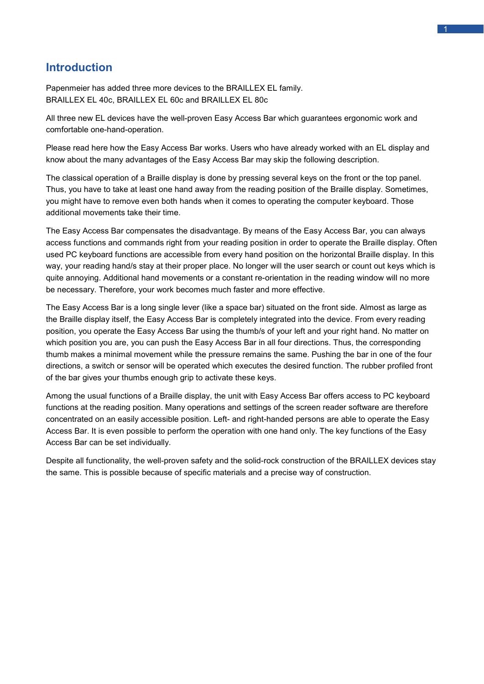# <span id="page-3-0"></span>**Introduction**

Papenmeier has added three more devices to the BRAILLEX EL family. BRAILLEX EL 40c, BRAILLEX EL 60c and BRAILLEX EL 80c

All three new EL devices have the well-proven Easy Access Bar which guarantees ergonomic work and comfortable one-hand-operation.

Please read here how the Easy Access Bar works. Users who have already worked with an EL display and know about the many advantages of the Easy Access Bar may skip the following description.

The classical operation of a Braille display is done by pressing several keys on the front or the top panel. Thus, you have to take at least one hand away from the reading position of the Braille display. Sometimes, you might have to remove even both hands when it comes to operating the computer keyboard. Those additional movements take their time.

The Easy Access Bar compensates the disadvantage. By means of the Easy Access Bar, you can always access functions and commands right from your reading position in order to operate the Braille display. Often used PC keyboard functions are accessible from every hand position on the horizontal Braille display. In this way, your reading hand/s stay at their proper place. No longer will the user search or count out keys which is quite annoying. Additional hand movements or a constant re-orientation in the reading window will no more be necessary. Therefore, your work becomes much faster and more effective.

The Easy Access Bar is a long single lever (like a space bar) situated on the front side. Almost as large as the Braille display itself, the Easy Access Bar is completely integrated into the device. From every reading position, you operate the Easy Access Bar using the thumb/s of your left and your right hand. No matter on which position you are, you can push the Easy Access Bar in all four directions. Thus, the corresponding thumb makes a minimal movement while the pressure remains the same. Pushing the bar in one of the four directions, a switch or sensor will be operated which executes the desired function. The rubber profiled front of the bar gives your thumbs enough grip to activate these keys.

Among the usual functions of a Braille display, the unit with Easy Access Bar offers access to PC keyboard functions at the reading position. Many operations and settings of the screen reader software are therefore concentrated on an easily accessible position. Left- and right-handed persons are able to operate the Easy Access Bar. It is even possible to perform the operation with one hand only. The key functions of the Easy Access Bar can be set individually.

Despite all functionality, the well-proven safety and the solid-rock construction of the BRAILLEX devices stay the same. This is possible because of specific materials and a precise way of construction.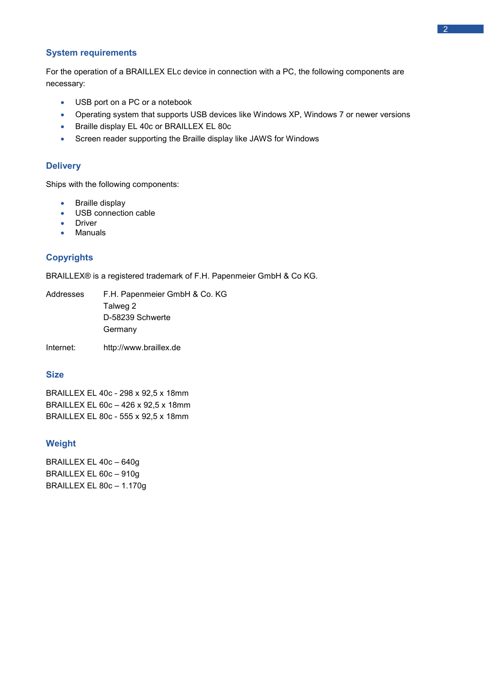#### <span id="page-4-0"></span>**System requirements**

For the operation of a BRAILLEX ELc device in connection with a PC, the following components are necessary:

- USB port on a PC or a notebook
- Operating system that supports USB devices like Windows XP, Windows 7 or newer versions
- Braille display EL 40c or BRAILLEX EL 80c
- Screen reader supporting the Braille display like JAWS for Windows

#### <span id="page-4-1"></span>**Delivery**

Ships with the following components:

- Braille display
- USB connection cable
- Driver
- Manuals

#### <span id="page-4-2"></span>**Copyrights**

BRAILLEX® is a registered trademark of F.H. Papenmeier GmbH & Co KG.

| Addresses | F.H. Papenmeier GmbH & Co. KG |
|-----------|-------------------------------|
|           | Talweg 2                      |
|           | D-58239 Schwerte              |
|           | Germany                       |
|           |                               |

Internet: http://www.braillex.de

#### <span id="page-4-3"></span>**Size**

BRAILLEX EL 40c - 298 x 92,5 x 18mm BRAILLEX EL 60c – 426 x 92,5 x 18mm BRAILLEX EL 80c - 555 x 92,5 x 18mm

#### <span id="page-4-4"></span>**Weight**

BRAILLEX EL 40c – 640g BRAILLEX EL 60c – 910g BRAILLEX EL 80c – 1.170g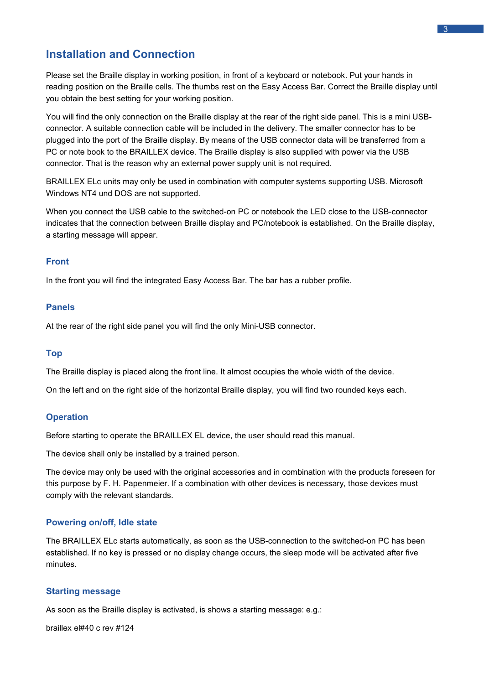### <span id="page-5-0"></span>**Installation and Connection**

Please set the Braille display in working position, in front of a keyboard or notebook. Put your hands in reading position on the Braille cells. The thumbs rest on the Easy Access Bar. Correct the Braille display until you obtain the best setting for your working position.

You will find the only connection on the Braille display at the rear of the right side panel. This is a mini USBconnector. A suitable connection cable will be included in the delivery. The smaller connector has to be plugged into the port of the Braille display. By means of the USB connector data will be transferred from a PC or note book to the BRAILLEX device. The Braille display is also supplied with power via the USB connector. That is the reason why an external power supply unit is not required.

BRAILLEX ELc units may only be used in combination with computer systems supporting USB. Microsoft Windows NT4 und DOS are not supported.

When you connect the USB cable to the switched-on PC or notebook the LED close to the USB-connector indicates that the connection between Braille display and PC/notebook is established. On the Braille display, a starting message will appear.

#### <span id="page-5-1"></span>**Front**

In the front you will find the integrated Easy Access Bar. The bar has a rubber profile.

#### <span id="page-5-2"></span>**Panels**

At the rear of the right side panel you will find the only Mini-USB connector.

#### <span id="page-5-3"></span>**Top**

The Braille display is placed along the front line. It almost occupies the whole width of the device.

On the left and on the right side of the horizontal Braille display, you will find two rounded keys each.

#### <span id="page-5-4"></span>**Operation**

Before starting to operate the BRAILLEX EL device, the user should read this manual.

The device shall only be installed by a trained person.

The device may only be used with the original accessories and in combination with the products foreseen for this purpose by F. H. Papenmeier. If a combination with other devices is necessary, those devices must comply with the relevant standards.

#### <span id="page-5-5"></span>**Powering on/off, Idle state**

The BRAILLEX ELc starts automatically, as soon as the USB-connection to the switched-on PC has been established. If no key is pressed or no display change occurs, the sleep mode will be activated after five minutes.

#### <span id="page-5-6"></span>**Starting message**

As soon as the Braille display is activated, is shows a starting message: e.g.:

braillex el#40 c rev #124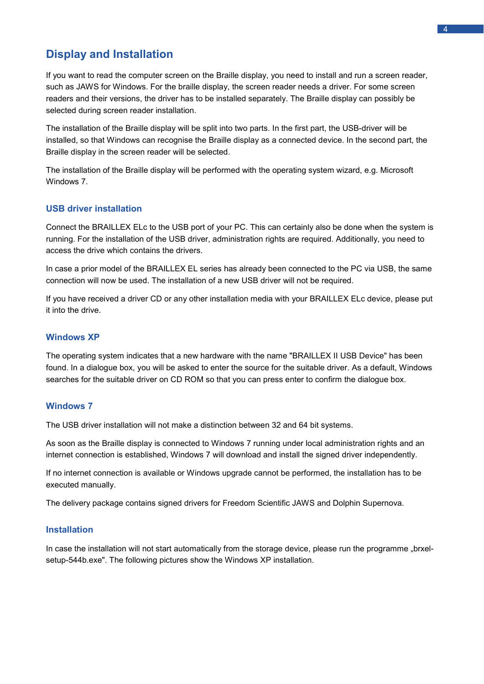# <span id="page-6-0"></span>**Display and Installation**

If you want to read the computer screen on the Braille display, you need to install and run a screen reader, such as JAWS for Windows. For the braille display, the screen reader needs a driver. For some screen readers and their versions, the driver has to be installed separately. The Braille display can possibly be selected during screen reader installation.

The installation of the Braille display will be split into two parts. In the first part, the USB-driver will be installed, so that Windows can recognise the Braille display as a connected device. In the second part, the Braille display in the screen reader will be selected.

The installation of the Braille display will be performed with the operating system wizard, e.g. Microsoft Windows 7.

#### <span id="page-6-1"></span>**USB driver installation**

Connect the BRAILLEX ELc to the USB port of your PC. This can certainly also be done when the system is running. For the installation of the USB driver, administration rights are required. Additionally, you need to access the drive which contains the drivers.

In case a prior model of the BRAILLEX EL series has already been connected to the PC via USB, the same connection will now be used. The installation of a new USB driver will not be required.

If you have received a driver CD or any other installation media with your BRAILLEX ELc device, please put it into the drive.

#### <span id="page-6-2"></span>**Windows XP**

The operating system indicates that a new hardware with the name "BRAILLEX II USB Device" has been found. In a dialogue box, you will be asked to enter the source for the suitable driver. As a default, Windows searches for the suitable driver on CD ROM so that you can press enter to confirm the dialogue box.

#### <span id="page-6-3"></span>**Windows 7**

The USB driver installation will not make a distinction between 32 and 64 bit systems.

As soon as the Braille display is connected to Windows 7 running under local administration rights and an internet connection is established, Windows 7 will download and install the signed driver independently.

If no internet connection is available or Windows upgrade cannot be performed, the installation has to be executed manually.

The delivery package contains signed drivers for Freedom Scientific JAWS and Dolphin Supernova.

#### <span id="page-6-4"></span>**Installation**

In case the installation will not start automatically from the storage device, please run the programme "brxelsetup-544b.exe". The following pictures show the Windows XP installation.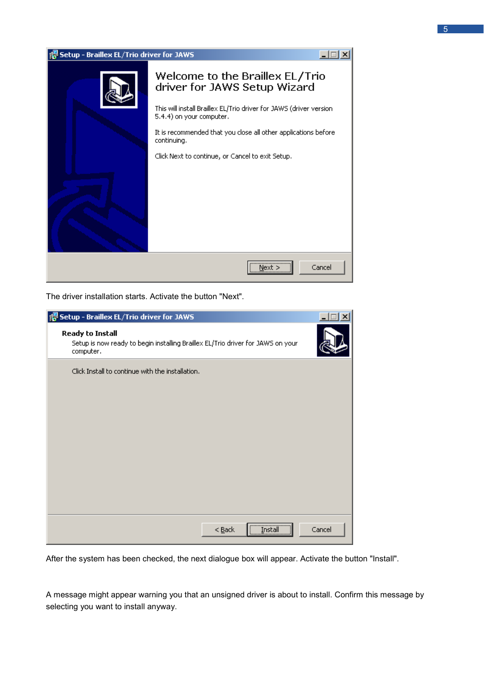

The driver installation starts. Activate the button "Next".

| is Setup - Braillex EL/Trio driver for JAWS                                                                             |        |
|-------------------------------------------------------------------------------------------------------------------------|--------|
| <b>Ready to Install</b><br>Setup is now ready to begin installing Braillex EL/Trio driver for JAWS on your<br>computer. |        |
| Click Install to continue with the installation.                                                                        |        |
| $<$ Back                                                                                                                | Cancel |

After the system has been checked, the next dialogue box will appear. Activate the button "Install".

A message might appear warning you that an unsigned driver is about to install. Confirm this message by selecting you want to install anyway.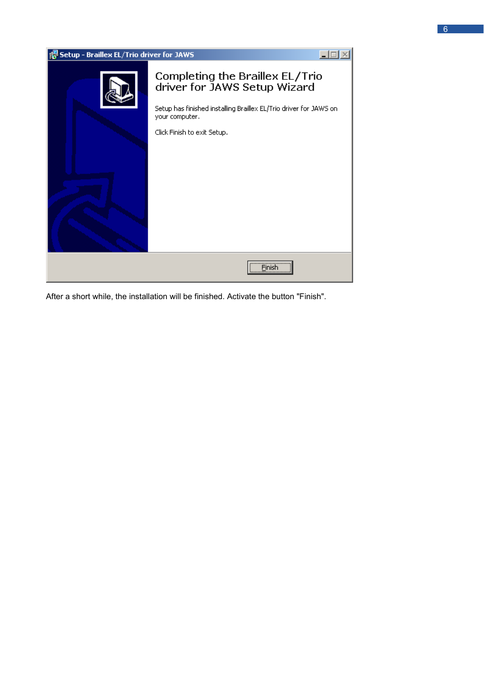| Setup - Braillex EL/Trio driver for JAWS |                                                                                                                                                                                       |  |
|------------------------------------------|---------------------------------------------------------------------------------------------------------------------------------------------------------------------------------------|--|
|                                          | Completing the Braillex EL/Trio<br>driver for JAWS Setup Wizard<br>Setup has finished installing Braillex EL/Trio driver for JAWS on<br>your computer.<br>Click Finish to exit Setup. |  |
|                                          | Finish                                                                                                                                                                                |  |

After a short while, the installation will be finished. Activate the button "Finish".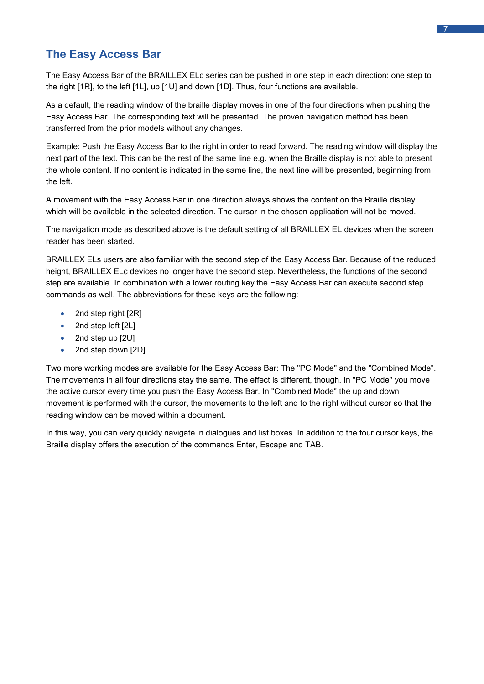# <span id="page-9-0"></span>**The Easy Access Bar**

The Easy Access Bar of the BRAILLEX ELc series can be pushed in one step in each direction: one step to the right [1R], to the left [1L], up [1U] and down [1D]. Thus, four functions are available.

As a default, the reading window of the braille display moves in one of the four directions when pushing the Easy Access Bar. The corresponding text will be presented. The proven navigation method has been transferred from the prior models without any changes.

Example: Push the Easy Access Bar to the right in order to read forward. The reading window will display the next part of the text. This can be the rest of the same line e.g. when the Braille display is not able to present the whole content. If no content is indicated in the same line, the next line will be presented, beginning from the left.

A movement with the Easy Access Bar in one direction always shows the content on the Braille display which will be available in the selected direction. The cursor in the chosen application will not be moved.

The navigation mode as described above is the default setting of all BRAILLEX EL devices when the screen reader has been started.

BRAILLEX ELs users are also familiar with the second step of the Easy Access Bar. Because of the reduced height, BRAILLEX ELc devices no longer have the second step. Nevertheless, the functions of the second step are available. In combination with a lower routing key the Easy Access Bar can execute second step commands as well. The abbreviations for these keys are the following:

- 2nd step right [2R]
- 2nd step left [2L]
- 2nd step up [2U]
- 2nd step down [2D]

Two more working modes are available for the Easy Access Bar: The "PC Mode" and the "Combined Mode". The movements in all four directions stay the same. The effect is different, though. In "PC Mode" you move the active cursor every time you push the Easy Access Bar. In "Combined Mode" the up and down movement is performed with the cursor, the movements to the left and to the right without cursor so that the reading window can be moved within a document.

In this way, you can very quickly navigate in dialogues and list boxes. In addition to the four cursor keys, the Braille display offers the execution of the commands Enter, Escape and TAB.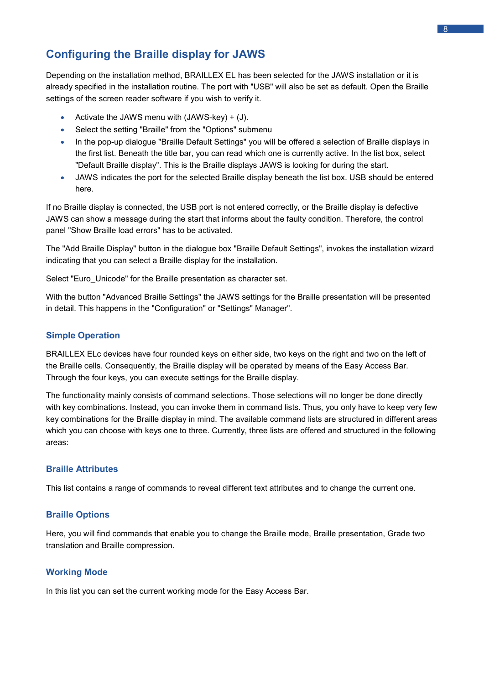# <span id="page-10-0"></span>**Configuring the Braille display for JAWS**

Depending on the installation method, BRAILLEX EL has been selected for the JAWS installation or it is already specified in the installation routine. The port with "USB" will also be set as default. Open the Braille settings of the screen reader software if you wish to verify it.

- Activate the JAWS menu with (JAWS-key) + (J).
- Select the setting "Braille" from the "Options" submenu
- In the pop-up dialogue "Braille Default Settings" you will be offered a selection of Braille displays in the first list. Beneath the title bar, you can read which one is currently active. In the list box, select "Default Braille display". This is the Braille displays JAWS is looking for during the start.
- JAWS indicates the port for the selected Braille display beneath the list box. USB should be entered here.

If no Braille display is connected, the USB port is not entered correctly, or the Braille display is defective JAWS can show a message during the start that informs about the faulty condition. Therefore, the control panel "Show Braille load errors" has to be activated.

The "Add Braille Display" button in the dialogue box "Braille Default Settings", invokes the installation wizard indicating that you can select a Braille display for the installation.

Select "Euro Unicode" for the Braille presentation as character set.

With the button "Advanced Braille Settings" the JAWS settings for the Braille presentation will be presented in detail. This happens in the "Configuration" or "Settings" Manager".

#### <span id="page-10-1"></span>**Simple Operation**

BRAILLEX ELc devices have four rounded keys on either side, two keys on the right and two on the left of the Braille cells. Consequently, the Braille display will be operated by means of the Easy Access Bar. Through the four keys, you can execute settings for the Braille display.

The functionality mainly consists of command selections. Those selections will no longer be done directly with key combinations. Instead, you can invoke them in command lists. Thus, you only have to keep very few key combinations for the Braille display in mind. The available command lists are structured in different areas which you can choose with keys one to three. Currently, three lists are offered and structured in the following areas:

#### <span id="page-10-2"></span>**Braille Attributes**

This list contains a range of commands to reveal different text attributes and to change the current one.

#### <span id="page-10-3"></span>**Braille Options**

Here, you will find commands that enable you to change the Braille mode, Braille presentation, Grade two translation and Braille compression.

#### <span id="page-10-4"></span>**Working Mode**

In this list you can set the current working mode for the Easy Access Bar.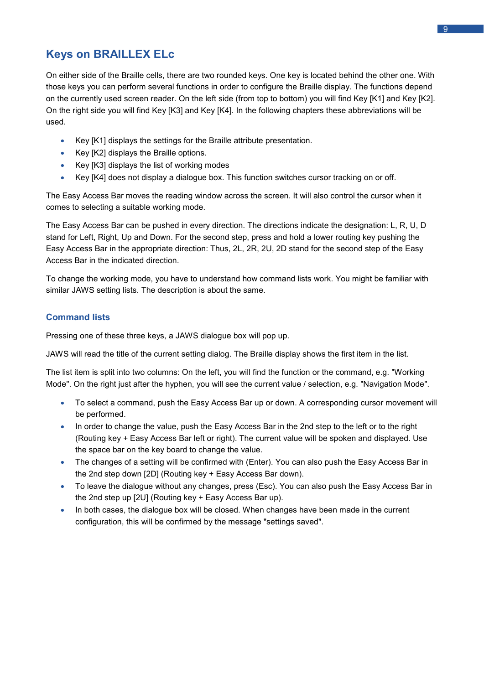# <span id="page-11-0"></span>**Keys on BRAILLEX ELc**

On either side of the Braille cells, there are two rounded keys. One key is located behind the other one. With those keys you can perform several functions in order to configure the Braille display. The functions depend on the currently used screen reader. On the left side (from top to bottom) you will find Key [K1] and Key [K2]. On the right side you will find Key [K3] and Key [K4]. In the following chapters these abbreviations will be used.

- Key [K1] displays the settings for the Braille attribute presentation.
- Key [K2] displays the Braille options.
- Key [K3] displays the list of working modes
- Key [K4] does not display a dialogue box. This function switches cursor tracking on or off.

The Easy Access Bar moves the reading window across the screen. It will also control the cursor when it comes to selecting a suitable working mode.

The Easy Access Bar can be pushed in every direction. The directions indicate the designation: L, R, U, D stand for Left, Right, Up and Down. For the second step, press and hold a lower routing key pushing the Easy Access Bar in the appropriate direction: Thus, 2L, 2R, 2U, 2D stand for the second step of the Easy Access Bar in the indicated direction.

To change the working mode, you have to understand how command lists work. You might be familiar with similar JAWS setting lists. The description is about the same.

#### <span id="page-11-1"></span>**Command lists**

Pressing one of these three keys, a JAWS dialogue box will pop up.

JAWS will read the title of the current setting dialog. The Braille display shows the first item in the list.

The list item is split into two columns: On the left, you will find the function or the command, e.g. "Working Mode". On the right just after the hyphen, you will see the current value / selection, e.g. "Navigation Mode".

- To select a command, push the Easy Access Bar up or down. A corresponding cursor movement will be performed.
- In order to change the value, push the Easy Access Bar in the 2nd step to the left or to the right (Routing key + Easy Access Bar left or right). The current value will be spoken and displayed. Use the space bar on the key board to change the value.
- The changes of a setting will be confirmed with (Enter). You can also push the Easy Access Bar in the 2nd step down [2D] (Routing key + Easy Access Bar down).
- To leave the dialogue without any changes, press (Esc). You can also push the Easy Access Bar in the 2nd step up [2U] (Routing key + Easy Access Bar up).
- In both cases, the dialogue box will be closed. When changes have been made in the current configuration, this will be confirmed by the message "settings saved".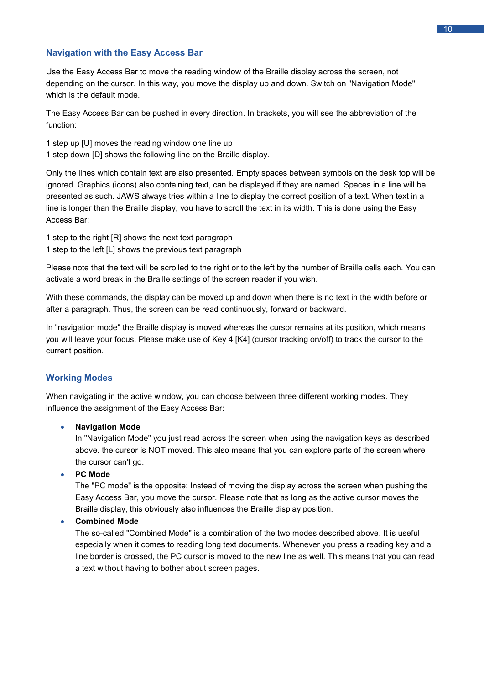#### <span id="page-12-0"></span>**Navigation with the Easy Access Bar**

Use the Easy Access Bar to move the reading window of the Braille display across the screen, not depending on the cursor. In this way, you move the display up and down. Switch on "Navigation Mode" which is the default mode.

The Easy Access Bar can be pushed in every direction. In brackets, you will see the abbreviation of the function:

- 1 step up [U] moves the reading window one line up
- 1 step down [D] shows the following line on the Braille display.

Only the lines which contain text are also presented. Empty spaces between symbols on the desk top will be ignored. Graphics (icons) also containing text, can be displayed if they are named. Spaces in a line will be presented as such. JAWS always tries within a line to display the correct position of a text. When text in a line is longer than the Braille display, you have to scroll the text in its width. This is done using the Easy Access Bar:

1 step to the right [R] shows the next text paragraph 1 step to the left [L] shows the previous text paragraph

Please note that the text will be scrolled to the right or to the left by the number of Braille cells each. You can activate a word break in the Braille settings of the screen reader if you wish.

With these commands, the display can be moved up and down when there is no text in the width before or after a paragraph. Thus, the screen can be read continuously, forward or backward.

In "navigation mode" the Braille display is moved whereas the cursor remains at its position, which means you will leave your focus. Please make use of Key 4 [K4] (cursor tracking on/off) to track the cursor to the current position.

#### <span id="page-12-1"></span>**Working Modes**

When navigating in the active window, you can choose between three different working modes. They influence the assignment of the Easy Access Bar:

#### • **Navigation Mode**

In "Navigation Mode" you just read across the screen when using the navigation keys as described above. the cursor is NOT moved. This also means that you can explore parts of the screen where the cursor can't go.

#### • **PC Mode**

The "PC mode" is the opposite: Instead of moving the display across the screen when pushing the Easy Access Bar, you move the cursor. Please note that as long as the active cursor moves the Braille display, this obviously also influences the Braille display position.

#### • **Combined Mode**

The so-called "Combined Mode" is a combination of the two modes described above. It is useful especially when it comes to reading long text documents. Whenever you press a reading key and a line border is crossed, the PC cursor is moved to the new line as well. This means that you can read a text without having to bother about screen pages.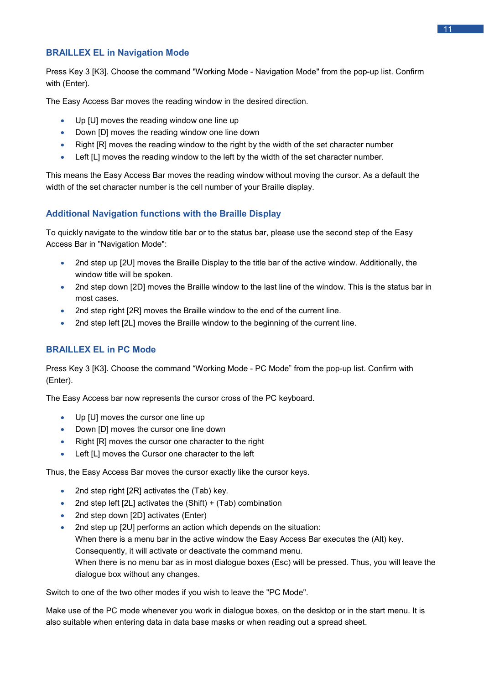#### <span id="page-13-0"></span>**BRAILLEX EL in Navigation Mode**

Press Key 3 [K3]. Choose the command "Working Mode - Navigation Mode" from the pop-up list. Confirm with (Enter).

The Easy Access Bar moves the reading window in the desired direction.

- Up [U] moves the reading window one line up
- Down [D] moves the reading window one line down
- Right [R] moves the reading window to the right by the width of the set character number
- Left [L] moves the reading window to the left by the width of the set character number.

This means the Easy Access Bar moves the reading window without moving the cursor. As a default the width of the set character number is the cell number of your Braille display.

#### <span id="page-13-1"></span>**Additional Navigation functions with the Braille Display**

To quickly navigate to the window title bar or to the status bar, please use the second step of the Easy Access Bar in "Navigation Mode":

- 2nd step up [2U] moves the Braille Display to the title bar of the active window. Additionally, the window title will be spoken.
- 2nd step down [2D] moves the Braille window to the last line of the window. This is the status bar in most cases.
- 2nd step right [2R] moves the Braille window to the end of the current line.
- 2nd step left [2L] moves the Braille window to the beginning of the current line.

#### <span id="page-13-2"></span>**BRAILLEX EL in PC Mode**

Press Key 3 [K3]. Choose the command "Working Mode - PC Mode" from the pop-up list. Confirm with (Enter).

The Easy Access bar now represents the cursor cross of the PC keyboard.

- Up [U] moves the cursor one line up
- Down [D] moves the cursor one line down
- Right [R] moves the cursor one character to the right
- Left [L] moves the Cursor one character to the left

Thus, the Easy Access Bar moves the cursor exactly like the cursor keys.

- 2nd step right [2R] activates the (Tab) key.
- 2nd step left  $[2L]$  activates the  $(Shift) + (Tab)$  combination
- 2nd step down [2D] activates (Enter)
- 2nd step up [2U] performs an action which depends on the situation: When there is a menu bar in the active window the Easy Access Bar executes the (Alt) key. Consequently, it will activate or deactivate the command menu. When there is no menu bar as in most dialogue boxes (Esc) will be pressed. Thus, you will leave the dialogue box without any changes.

Switch to one of the two other modes if you wish to leave the "PC Mode".

Make use of the PC mode whenever you work in dialogue boxes, on the desktop or in the start menu. It is also suitable when entering data in data base masks or when reading out a spread sheet.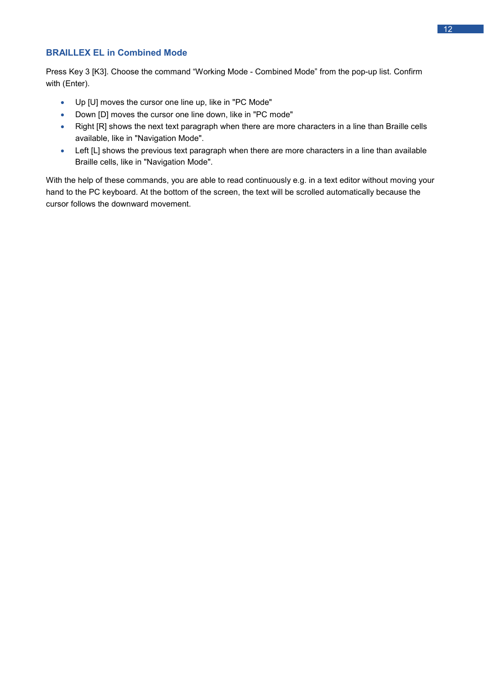#### $12 - 1$

#### <span id="page-14-0"></span>**BRAILLEX EL in Combined Mode**

Press Key 3 [K3]. Choose the command "Working Mode - Combined Mode" from the pop-up list. Confirm with (Enter).

- Up [U] moves the cursor one line up, like in "PC Mode"
- Down [D] moves the cursor one line down, like in "PC mode"
- Right [R] shows the next text paragraph when there are more characters in a line than Braille cells available, like in "Navigation Mode".
- Left [L] shows the previous text paragraph when there are more characters in a line than available Braille cells, like in "Navigation Mode".

With the help of these commands, you are able to read continuously e.g. in a text editor without moving your hand to the PC keyboard. At the bottom of the screen, the text will be scrolled automatically because the cursor follows the downward movement.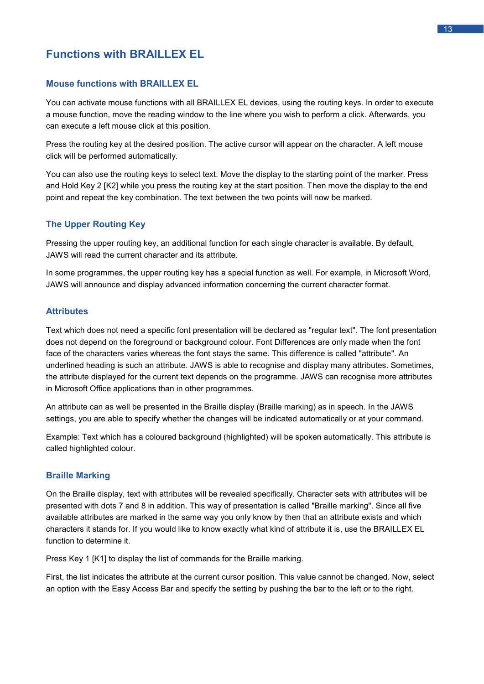# <span id="page-15-0"></span>**Functions with BRAILLEX EL**

#### <span id="page-15-1"></span>**Mouse functions with BRAILLEX EL**

You can activate mouse functions with all BRAILLEX EL devices, using the routing keys. In order to execute a mouse function, move the reading window to the line where you wish to perform a click. Afterwards, you can execute a left mouse click at this position.

Press the routing key at the desired position. The active cursor will appear on the character. A left mouse click will be performed automatically.

You can also use the routing keys to select text. Move the display to the starting point of the marker. Press and Hold Key 2 [K2] while you press the routing key at the start position. Then move the display to the end point and repeat the key combination. The text between the two points will now be marked.

#### <span id="page-15-2"></span>**The Upper Routing Key**

Pressing the upper routing key, an additional function for each single character is available. By default, JAWS will read the current character and its attribute.

In some programmes, the upper routing key has a special function as well. For example, in Microsoft Word, JAWS will announce and display advanced information concerning the current character format.

#### <span id="page-15-3"></span>**Attributes**

Text which does not need a specific font presentation will be declared as "regular text". The font presentation does not depend on the foreground or background colour. Font Differences are only made when the font face of the characters varies whereas the font stays the same. This difference is called "attribute". An underlined heading is such an attribute. JAWS is able to recognise and display many attributes. Sometimes, the attribute displayed for the current text depends on the programme. JAWS can recognise more attributes in Microsoft Office applications than in other programmes.

An attribute can as well be presented in the Braille display (Braille marking) as in speech. In the JAWS settings, you are able to specify whether the changes will be indicated automatically or at your command.

Example: Text which has a coloured background (highlighted) will be spoken automatically. This attribute is called highlighted colour.

#### <span id="page-15-4"></span>**Braille Marking**

On the Braille display, text with attributes will be revealed specifically. Character sets with attributes will be presented with dots 7 and 8 in addition. This way of presentation is called "Braille marking". Since all five available attributes are marked in the same way you only know by then that an attribute exists and which characters it stands for. If you would like to know exactly what kind of attribute it is, use the BRAILLEX EL function to determine it.

Press Key 1 [K1] to display the list of commands for the Braille marking.

First, the list indicates the attribute at the current cursor position. This value cannot be changed. Now, select an option with the Easy Access Bar and specify the setting by pushing the bar to the left or to the right.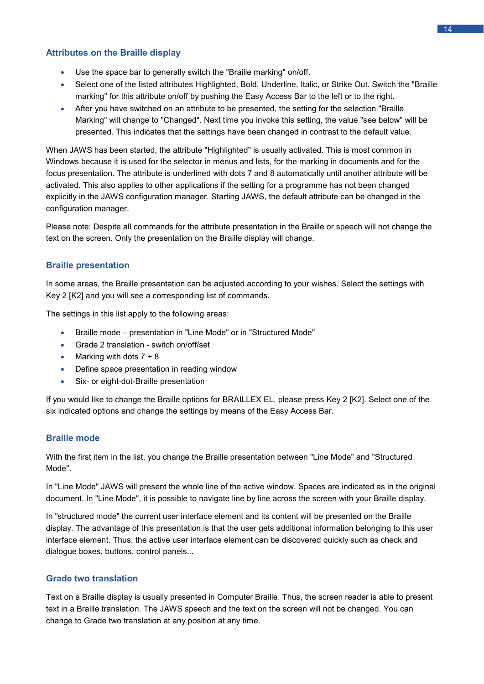#### <span id="page-16-0"></span>**Attributes on the Braille display**

- Use the space bar to generally switch the "Braille marking" on/off.
- Select one of the listed attributes Highlighted, Bold, Underline, Italic, or Strike Out. Switch the "Braille marking" for this attribute on/off by pushing the Easy Access Bar to the left or to the right.
- After you have switched on an attribute to be presented, the setting for the selection "Braille Marking" will change to "Changed". Next time you invoke this setting, the value "see below" will be presented. This indicates that the settings have been changed in contrast to the default value.

When JAWS has been started, the attribute "Highlighted" is usually activated. This is most common in Windows because it is used for the selector in menus and lists, for the marking in documents and for the focus presentation. The attribute is underlined with dots 7 and 8 automatically until another attribute will be activated. This also applies to other applications if the setting for a programme has not been changed explicitly in the JAWS configuration manager. Starting JAWS, the default attribute can be changed in the configuration manager.

Please note: Despite all commands for the attribute presentation in the Braille or speech will not change the text on the screen. Only the presentation on the Braille display will change.

#### <span id="page-16-1"></span>**Braille presentation**

In some areas, the Braille presentation can be adjusted according to your wishes. Select the settings with Key 2 [K2] and you will see a corresponding list of commands.

The settings in this list apply to the following areas:

- Braille mode presentation in "Line Mode" or in "Structured Mode"
- Grade 2 translation switch on/off/set
- Marking with dots  $7 + 8$
- Define space presentation in reading window
- Six- or eight-dot-Braille presentation

If you would like to change the Braille options for BRAILLEX EL, please press Key 2 [K2]. Select one of the six indicated options and change the settings by means of the Easy Access Bar.

#### <span id="page-16-2"></span>**Braille mode**

With the first item in the list, you change the Braille presentation between "Line Mode" and "Structured Mode".

In "Line Mode" JAWS will present the whole line of the active window. Spaces are indicated as in the original document. In "Line Mode", it is possible to navigate line by line across the screen with your Braille display.

In "structured mode" the current user interface element and its content will be presented on the Braille display. The advantage of this presentation is that the user gets additional information belonging to this user interface element. Thus, the active user interface element can be discovered quickly such as check and dialogue boxes, buttons, control panels...

#### <span id="page-16-3"></span>**Grade two translation**

Text on a Braille display is usually presented in Computer Braille. Thus, the screen reader is able to present text in a Braille translation. The JAWS speech and the text on the screen will not be changed. You can change to Grade two translation at any position at any time.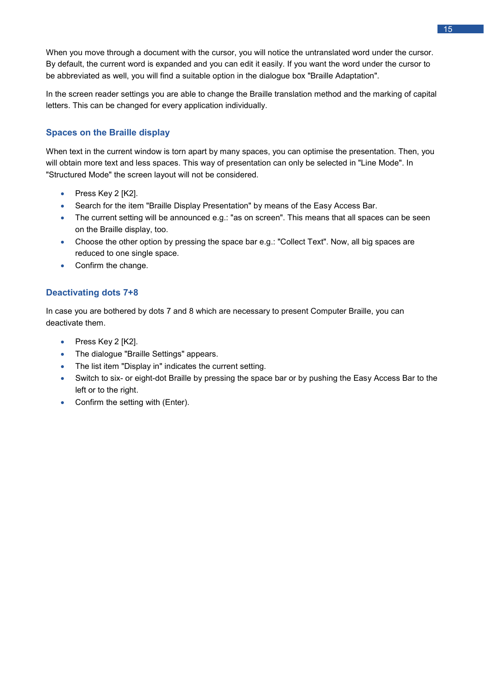When you move through a document with the cursor, you will notice the untranslated word under the cursor. By default, the current word is expanded and you can edit it easily. If you want the word under the cursor to be abbreviated as well, you will find a suitable option in the dialogue box "Braille Adaptation".

In the screen reader settings you are able to change the Braille translation method and the marking of capital letters. This can be changed for every application individually.

#### <span id="page-17-0"></span>**Spaces on the Braille display**

When text in the current window is torn apart by many spaces, you can optimise the presentation. Then, you will obtain more text and less spaces. This way of presentation can only be selected in "Line Mode". In "Structured Mode" the screen layout will not be considered.

- Press Key 2 [K2].
- Search for the item "Braille Display Presentation" by means of the Easy Access Bar.
- The current setting will be announced e.g.: "as on screen". This means that all spaces can be seen on the Braille display, too.
- Choose the other option by pressing the space bar e.g.: "Collect Text". Now, all big spaces are reduced to one single space.
- Confirm the change.

#### <span id="page-17-1"></span>**Deactivating dots 7+8**

In case you are bothered by dots 7 and 8 which are necessary to present Computer Braille, you can deactivate them.

- Press Key 2 [K2].
- The dialogue "Braille Settings" appears.
- The list item "Display in" indicates the current setting.
- Switch to six- or eight-dot Braille by pressing the space bar or by pushing the Easy Access Bar to the left or to the right.
- Confirm the setting with (Enter).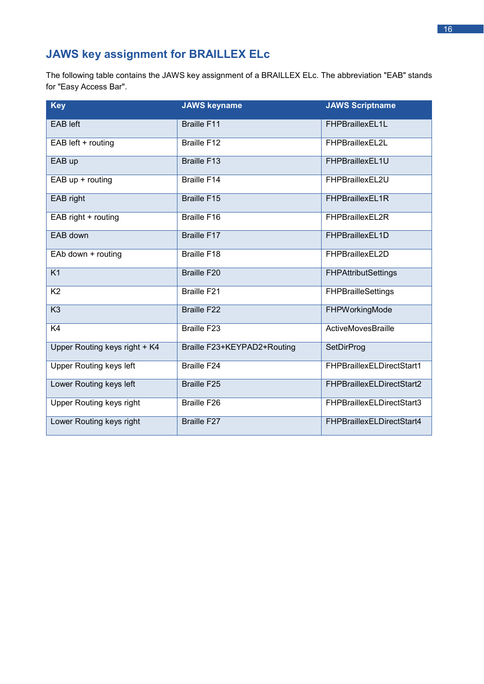# <span id="page-18-0"></span>**JAWS key assignment for BRAILLEX ELc**

The following table contains the JAWS key assignment of a BRAILLEX ELc. The abbreviation "EAB" stands for "Easy Access Bar".

| <b>Key</b>                     | <b>JAWS keyname</b>         | <b>JAWS Scriptname</b>     |
|--------------------------------|-----------------------------|----------------------------|
| <b>EAB</b> left                | <b>Braille F11</b>          | FHPBraillexEL1L            |
| EAB left + routing             | <b>Braille F12</b>          | FHPBraillexEL2L            |
| EAB up                         | <b>Braille F13</b>          | FHPBraillexEL1U            |
| EAB up + routing               | <b>Braille F14</b>          | FHPBraillexEL2U            |
| EAB right                      | <b>Braille F15</b>          | FHPBraillexEL1R            |
| EAB right + routing            | <b>Braille F16</b>          | FHPBraillexEL2R            |
| EAB down                       | <b>Braille F17</b>          | FHPBraillexEL1D            |
| EAb down + routing             | Braille F18                 | FHPBraillexEL2D            |
| K1                             | <b>Braille F20</b>          | <b>FHPAttributSettings</b> |
| K <sub>2</sub>                 | <b>Braille F21</b>          | <b>FHPBrailleSettings</b>  |
| K <sub>3</sub>                 | <b>Braille F22</b>          | FHPWorkingMode             |
| K4                             | <b>Braille F23</b>          | ActiveMovesBraille         |
| Upper Routing keys right + K4  | Braille F23+KEYPAD2+Routing | SetDirProg                 |
| <b>Upper Routing keys left</b> | <b>Braille F24</b>          | FHPBraillexELDirectStart1  |
| Lower Routing keys left        | <b>Braille F25</b>          | FHPBraillexELDirectStart2  |
| Upper Routing keys right       | Braille F26                 | FHPBraillexELDirectStart3  |
| Lower Routing keys right       | Braille F27                 | FHPBraillexELDirectStart4  |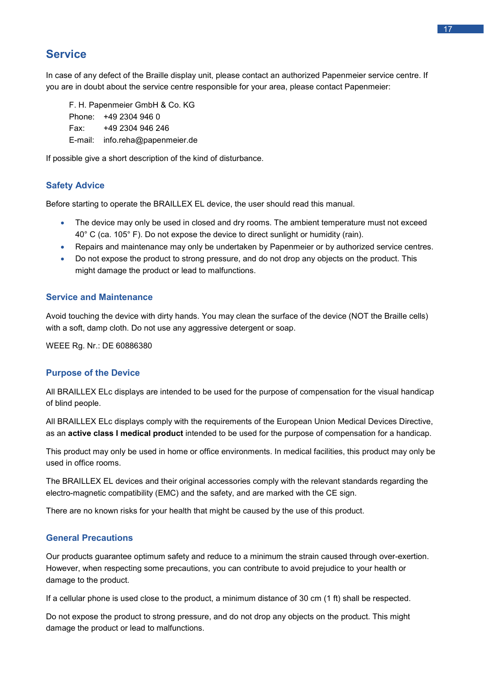#### <span id="page-19-0"></span>**Service**

In case of any defect of the Braille display unit, please contact an authorized Papenmeier service centre. If you are in doubt about the service centre responsible for your area, please contact Papenmeier:

F. H. Papenmeier GmbH & Co. KG Phone: +49 2304 946 0 Fax: +49 2304 946 246 E-mail: info.reha@papenmeier.de

If possible give a short description of the kind of disturbance.

#### <span id="page-19-1"></span>**Safety Advice**

Before starting to operate the BRAILLEX EL device, the user should read this manual.

- The device may only be used in closed and dry rooms. The ambient temperature must not exceed 40° C (ca. 105° F). Do not expose the device to direct sunlight or humidity (rain).
- Repairs and maintenance may only be undertaken by Papenmeier or by authorized service centres.
- Do not expose the product to strong pressure, and do not drop any objects on the product. This might damage the product or lead to malfunctions.

#### <span id="page-19-2"></span>**Service and Maintenance**

Avoid touching the device with dirty hands. You may clean the surface of the device (NOT the Braille cells) with a soft, damp cloth. Do not use any aggressive detergent or soap.

WEEE Rg. Nr.: DE 60886380

#### <span id="page-19-3"></span>**Purpose of the Device**

All BRAILLEX ELc displays are intended to be used for the purpose of compensation for the visual handicap of blind people.

All BRAILLEX ELc displays comply with the requirements of the European Union Medical Devices Directive, as an **active class I medical product** intended to be used for the purpose of compensation for a handicap.

This product may only be used in home or office environments. In medical facilities, this product may only be used in office rooms.

The BRAILLEX EL devices and their original accessories comply with the relevant standards regarding the electro-magnetic compatibility (EMC) and the safety, and are marked with the CE sign.

There are no known risks for your health that might be caused by the use of this product.

#### <span id="page-19-4"></span>**General Precautions**

Our products guarantee optimum safety and reduce to a minimum the strain caused through over-exertion. However, when respecting some precautions, you can contribute to avoid prejudice to your health or damage to the product.

If a cellular phone is used close to the product, a minimum distance of 30 cm (1 ft) shall be respected.

Do not expose the product to strong pressure, and do not drop any objects on the product. This might damage the product or lead to malfunctions.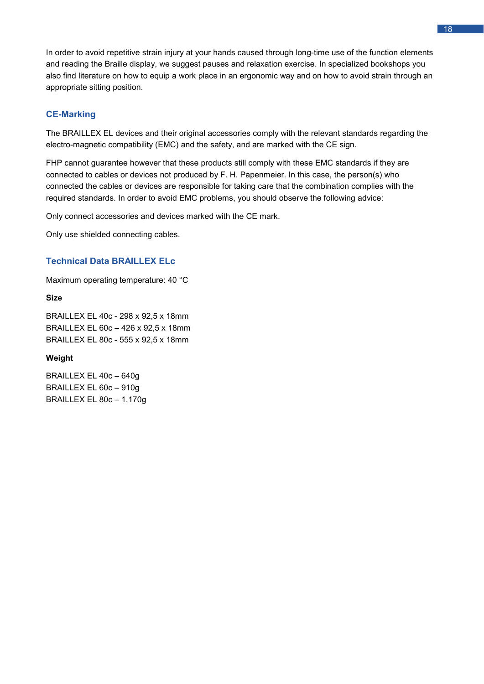In order to avoid repetitive strain injury at your hands caused through long-time use of the function elements and reading the Braille display, we suggest pauses and relaxation exercise. In specialized bookshops you also find literature on how to equip a work place in an ergonomic way and on how to avoid strain through an appropriate sitting position.

#### <span id="page-20-0"></span>**CE-Marking**

The BRAILLEX EL devices and their original accessories comply with the relevant standards regarding the electro-magnetic compatibility (EMC) and the safety, and are marked with the CE sign.

FHP cannot guarantee however that these products still comply with these EMC standards if they are connected to cables or devices not produced by F. H. Papenmeier. In this case, the person(s) who connected the cables or devices are responsible for taking care that the combination complies with the required standards. In order to avoid EMC problems, you should observe the following advice:

Only connect accessories and devices marked with the CE mark.

Only use shielded connecting cables.

#### <span id="page-20-1"></span>**Technical Data BRAILLEX ELc**

Maximum operating temperature: 40 °C

#### **Size**

BRAILLEX EL 40c - 298 x 92,5 x 18mm BRAILLEX EL 60c – 426 x 92,5 x 18mm BRAILLEX EL 80c - 555 x 92,5 x 18mm

#### **Weight**

BRAILLEX EL 40c – 640g BRAILLEX EL 60c – 910g BRAILLEX EL 80c – 1.170g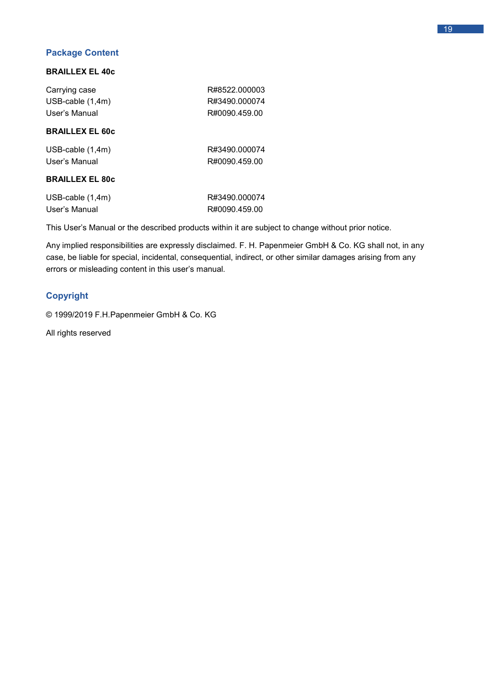#### <span id="page-21-0"></span>**Package Content**

#### **BRAILLEX EL 40c**

| R#8522.000003 |
|---------------|
| R#3490.000074 |
| R#0090.459.00 |
|               |

#### **BRAILLEX EL 60c**

| USB-cable $(1,4m)$ | R#3490.000074 |
|--------------------|---------------|
| User's Manual      | R#0090.459.00 |

#### **BRAILLEX EL 80c**

| USB-cable $(1,4m)$ | R#3490.000074 |
|--------------------|---------------|
| User's Manual      | R#0090.459.00 |

This User's Manual or the described products within it are subject to change without prior notice.

Any implied responsibilities are expressly disclaimed. F. H. Papenmeier GmbH & Co. KG shall not, in any case, be liable for special, incidental, consequential, indirect, or other similar damages arising from any errors or misleading content in this user's manual.

#### <span id="page-21-1"></span>**Copyright**

© 1999/2019 F.H.Papenmeier GmbH & Co. KG

All rights reserved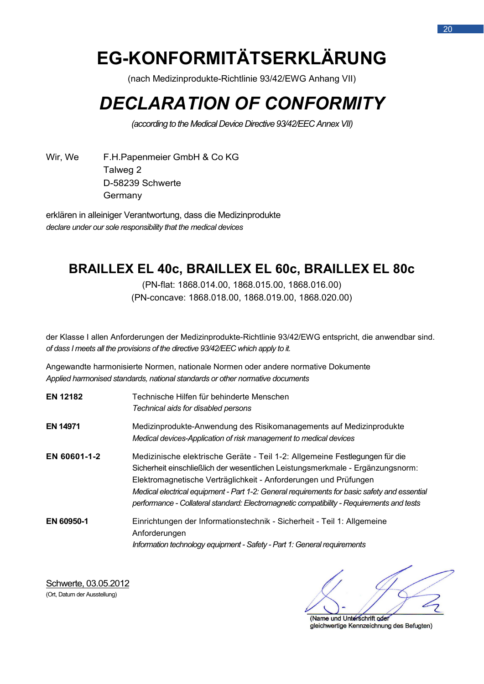# **EG-KONFORMITÄTSERKLÄRUNG**

(nach Medizinprodukte-Richtlinie 93/42/EWG Anhang VII)

# *DECLARATION OF CONFORMITY*

*(according to the Medical Device Directive 93/42/EEC Annex VII)*

Wir, We F.H.Papenmeier GmbH & Co KG Talweg 2 D-58239 Schwerte Germany

erklären in alleiniger Verantwortung, dass die Medizinprodukte *declare under our sole responsibility that the medical devices*

# **BRAILLEX EL 40c, BRAILLEX EL 60c, BRAILLEX EL 80c**

(PN-flat: 1868.014.00, 1868.015.00, 1868.016.00) (PN-concave: 1868.018.00, 1868.019.00, 1868.020.00)

der Klasse I allen Anforderungen der Medizinprodukte-Richtlinie 93/42/EWG entspricht, die anwendbar sind. *of dass I meets all the provisions of the directive 93/42/EEC which apply to it.*

Angewandte harmonisierte Normen, nationale Normen oder andere normative Dokumente *Applied harmonised standards, national standards or other normative documents*

| <b>EN 12182</b> | Technische Hilfen für behinderte Menschen.<br>Technical aids for disabled persons                                                                                                                                                                                                                                                                                                                                              |
|-----------------|--------------------------------------------------------------------------------------------------------------------------------------------------------------------------------------------------------------------------------------------------------------------------------------------------------------------------------------------------------------------------------------------------------------------------------|
| EN 14971        | Medizinprodukte-Anwendung des Risikomanagements auf Medizinprodukte<br>Medical devices-Application of risk management to medical devices                                                                                                                                                                                                                                                                                       |
| EN 60601-1-2    | Medizinische elektrische Geräte - Teil 1-2: Allgemeine Festlegungen für die<br>Sicherheit einschließlich der wesentlichen Leistungsmerkmale - Ergänzungsnorm:<br>Elektromagnetische Verträglichkeit - Anforderungen und Prüfungen<br>Medical electrical equipment - Part 1-2: General requirements for basic safety and essential<br>performance - Collateral standard: Electromagnetic compatibility - Requirements and tests |
| EN 60950-1      | Einrichtungen der Informationstechnik - Sicherheit - Teil 1: Allgemeine<br>Anforderungen<br>Information technology equipment - Safety - Part 1: General requirements                                                                                                                                                                                                                                                           |

Schwerte, 03.05.2012 (Ort, Datum der Ausstellung)

(Name und Unterschrift oder gleichwertige Kennzeichnung des Befugten)